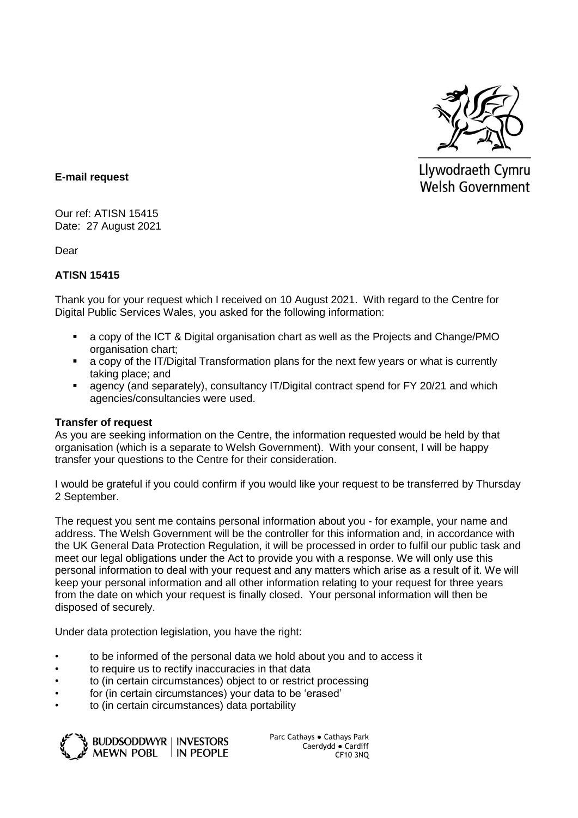

Llywodraeth Cymru **Welsh Government** 

## **E-mail request**

Our ref: ATISN 15415 Date: 27 August 2021

Dear

## **ATISN 15415**

Thank you for your request which I received on 10 August 2021. With regard to the Centre for Digital Public Services Wales, you asked for the following information:

- a copy of the ICT & Digital organisation chart as well as the Projects and Change/PMO organisation chart;
- a copy of the IT/Digital Transformation plans for the next few years or what is currently taking place; and
- agency (and separately), consultancy IT/Digital contract spend for FY 20/21 and which agencies/consultancies were used.

## **Transfer of request**

As you are seeking information on the Centre, the information requested would be held by that organisation (which is a separate to Welsh Government). With your consent, I will be happy transfer your questions to the Centre for their consideration.

I would be grateful if you could confirm if you would like your request to be transferred by Thursday 2 September.

The request you sent me contains personal information about you - for example, your name and address. The Welsh Government will be the controller for this information and, in accordance with the UK General Data Protection Regulation, it will be processed in order to fulfil our public task and meet our legal obligations under the Act to provide you with a response. We will only use this personal information to deal with your request and any matters which arise as a result of it. We will keep your personal information and all other information relating to your request for three years from the date on which your request is finally closed. Your personal information will then be disposed of securely.

Under data protection legislation, you have the right:

- to be informed of the personal data we hold about you and to access it
- to require us to rectify inaccuracies in that data
- to (in certain circumstances) object to or restrict processing
- for (in certain circumstances) your data to be 'erased'
- to (in certain circumstances) data portability



Parc Cathays ● Cathays Park Caerdydd ● Cardiff CF10 3NQ